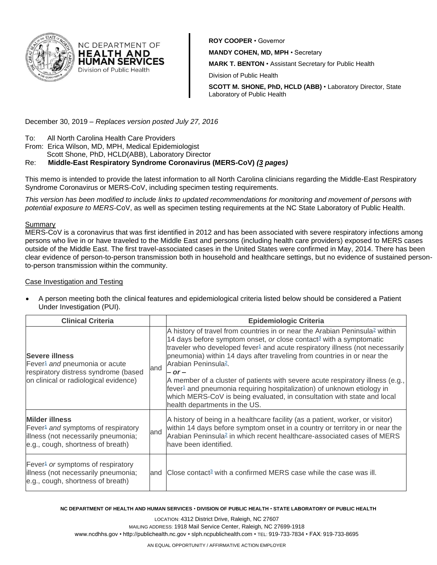

**ROY COOPER** • Governor **MANDY COHEN, MD, MPH** • Secretary **MARK T. BENTON** • Assistant Secretary for Public Health Division of Public Health

**SCOTT M. SHONE, PhD, HCLD (ABB)** • Laboratory Director, State Laboratory of Public Health

December 30, 2019 – *Replaces version posted July 27, 2016*

NC DEPARTMENT OF **HEALTH AND HUMAN SERVICES** Division of Public Health

- To: All North Carolina Health Care Providers
- From: Erica Wilson, MD, MPH, Medical Epidemiologist
- Scott Shone, PhD, HCLD(ABB), Laboratory Director

# Re: **Middle-East Respiratory Syndrome Coronavirus (MERS-CoV)** *(3 pages)*

This memo is intended to provide the latest information to all North Carolina clinicians regarding the Middle-East Respiratory Syndrome Coronavirus or MERS-CoV, including specimen testing requirements.

*This version has been modified to include links to updated recommendations for monitoring and movement of persons with potential exposure to MERS-*CoV, as well as specimen testing requirements at the NC State Laboratory of Public Health*.*

## Summary

MERS-CoV is a coronavirus that was first identified in 2012 and has been associated with severe respiratory infections among persons who live in or have traveled to the Middle East and persons (including health care providers) exposed to MERS cases outside of the Middle East. The first travel-associated cases in the United States were confirmed in May, 2014. There has been clear evidence of person-to-person transmission both in household and healthcare settings, but no evidence of sustained personto-person transmission within the community.

### Case Investigation and Testing

• A person meeting both the clinical features and epidemiological criteria listed below should be considered a Patient Under Investigation (PUI).

| <b>Clinical Criteria</b>                                                                                                                            |     | <b>Epidemiologic Criteria</b>                                                                                                                                                                                                                                                                                                                                                                                                                                                                                                                                                                                                                                                          |  |
|-----------------------------------------------------------------------------------------------------------------------------------------------------|-----|----------------------------------------------------------------------------------------------------------------------------------------------------------------------------------------------------------------------------------------------------------------------------------------------------------------------------------------------------------------------------------------------------------------------------------------------------------------------------------------------------------------------------------------------------------------------------------------------------------------------------------------------------------------------------------------|--|
| <b>Severe illness</b><br>Fever <sup>1</sup> and pneumonia or acute<br>respiratory distress syndrome (based<br>on clinical or radiological evidence) | and | A history of travel from countries in or near the Arabian Peninsula <sup>2</sup> within<br>14 days before symptom onset, or close contact <sup>3</sup> with a symptomatic<br>traveler who developed fever <sup>1</sup> and acute respiratory illness (not necessarily<br>pneumonia) within 14 days after traveling from countries in or near the<br>Arabian Peninsula <sup>2</sup> .<br>$-$ or $-$<br>A member of a cluster of patients with severe acute respiratory illness (e.g.,<br>fever <sup>1</sup> and pneumonia requiring hospitalization) of unknown etiology in<br>which MERS-CoV is being evaluated, in consultation with state and local<br>health departments in the US. |  |
| <b>Milder illness</b><br>Fever <sup>1</sup> and symptoms of respiratory<br>illness (not necessarily pneumonia;<br>e.g., cough, shortness of breath) | and | A history of being in a healthcare facility (as a patient, worker, or visitor)<br>within 14 days before symptom onset in a country or territory in or near the<br>Arabian Peninsula <sup>2</sup> in which recent healthcare-associated cases of MERS<br>have been identified.                                                                                                                                                                                                                                                                                                                                                                                                          |  |
| Fever <sup>1</sup> or symptoms of respiratory<br>illness (not necessarily pneumonia;<br>e.g., cough, shortness of breath)                           | and | Close contact <sup>3</sup> with a confirmed MERS case while the case was ill.                                                                                                                                                                                                                                                                                                                                                                                                                                                                                                                                                                                                          |  |

#### **NC DEPARTMENT OF HEALTH AND HUMAN SERVICES** • **DIVISION OF PUBLIC HEALTH** • **STATE LABORATORY OF PUBLIC HEALTH**

LOCATION: 4312 District Drive, Raleigh, NC 27607 MAILING ADDRESS: 1918 Mail Service Center, Raleigh, NC 27699-1918 www.ncdhhs.gov • http://publichealth.nc.gov • slph.ncpublichealth.com • TEL: 919-733-7834 • FAX: 919-733-8695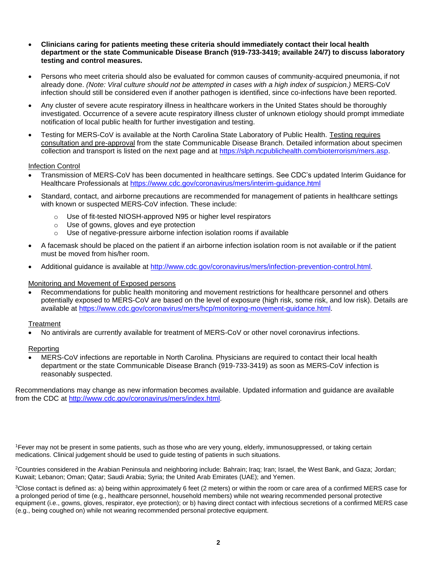- **Clinicians caring for patients meeting these criteria should immediately contact their local health department or the state Communicable Disease Branch (919-733-3419; available 24/7) to discuss laboratory testing and control measures.**
- Persons who meet criteria should also be evaluated for common causes of community-acquired pneumonia, if not already done. *(Note: Viral culture should not be attempted in cases with a high index of suspicion.)* MERS-CoV infection should still be considered even if another pathogen is identified, since co-infections have been reported.
- Any cluster of severe acute respiratory illness in healthcare workers in the United States should be thoroughly investigated. Occurrence of a severe acute respiratory illness cluster of unknown etiology should prompt immediate notification of local public health for further investigation and testing.
- Testing for MERS-CoV is available at the North Carolina State Laboratory of Public Health. Testing requires consultation and pre-approval from the state Communicable Disease Branch. Detailed information about specimen collection and transport is listed on the next page and at [https://slph.ncpublichealth.com/bioterrorism/mers.asp.](https://slph.ncpublichealth.com/bioterrorism/mers.asp)

#### Infection Control

- Transmission of MERS-CoV has been documented in healthcare settings. See CDC's updated Interim Guidance for Healthcare Professionals at<https://www.cdc.gov/coronavirus/mers/interim-guidance.html>
- Standard, contact, and airborne precautions are recommended for management of patients in healthcare settings with known or suspected MERS-CoV infection. These include:
	- o Use of fit-tested NIOSH-approved N95 or higher level respirators
	- o Use of gowns, gloves and eye protection
	- o Use of negative-pressure airborne infection isolation rooms if available
- A facemask should be placed on the patient if an airborne infection isolation room is not available or if the patient must be moved from his/her room.
- Additional guidance is available at [http://www.cdc.gov/coronavirus/mers/infection-prevention-control.html.](http://www.cdc.gov/coronavirus/mers/infection-prevention-control.html)

### Monitoring and Movement of Exposed persons

• Recommendations for public health monitoring and movement restrictions for healthcare personnel and others potentially exposed to MERS-CoV are based on the level of exposure (high risk, some risk, and low risk). Details are available at [https://www.cdc.gov/coronavirus/mers/hcp/monitoring-movement-guidance.html.](https://www.cdc.gov/coronavirus/mers/hcp/monitoring-movement-guidance.html)

### Treatment

• No antivirals are currently available for treatment of MERS-CoV or other novel coronavirus infections.

# **Reporting**

• MERS-CoV infections are reportable in North Carolina. Physicians are required to contact their local health department or the state Communicable Disease Branch (919-733-3419) as soon as MERS-CoV infection is reasonably suspected.

Recommendations may change as new information becomes available. Updated information and guidance are available from the CDC at [http://www.cdc.gov/coronavirus/mers/index.html.](http://www.cdc.gov/coronavirus/mers/index.html)

<sup>1</sup>Fever may not be present in some patients, such as those who are very young, elderly, immunosuppressed, or taking certain medications. Clinical judgement should be used to guide testing of patients in such situations.

<sup>2</sup>Countries considered in the Arabian Peninsula and neighboring include: Bahrain; Iraq; Iran; Israel, the West Bank, and Gaza; Jordan; Kuwait; Lebanon; Oman; Qatar; Saudi Arabia; Syria; the United Arab Emirates (UAE); and Yemen.

<sup>3</sup>Close contact is defined as: a) being within approximately 6 feet (2 meters) or within the room or care area of a confirmed MERS case for a prolonged period of time (e.g., healthcare personnel, household members) while not wearing recommended personal protective equipment (i.e., gowns, gloves, respirator, eye protection); or b) having direct contact with infectious secretions of a confirmed MERS case (e.g., being coughed on) while not wearing recommended personal protective equipment.